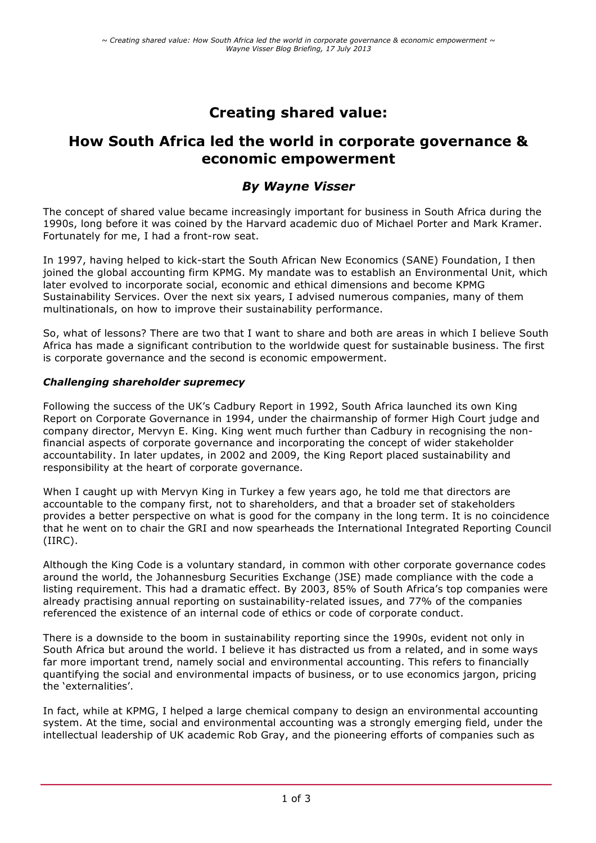# **Creating shared value:**

## **How South Africa led the world in corporate governance & economic empowerment**

### *By Wayne Visser*

The concept of shared value became increasingly important for business in South Africa during the 1990s, long before it was coined by the Harvard academic duo of Michael Porter and Mark Kramer. Fortunately for me, I had a front-row seat.

In 1997, having helped to kick-start the South African New Economics (SANE) Foundation, I then joined the global accounting firm KPMG. My mandate was to establish an Environmental Unit, which later evolved to incorporate social, economic and ethical dimensions and become KPMG Sustainability Services. Over the next six years, I advised numerous companies, many of them multinationals, on how to improve their sustainability performance.

So, what of lessons? There are two that I want to share and both are areas in which I believe South Africa has made a significant contribution to the worldwide quest for sustainable business. The first is corporate governance and the second is economic empowerment.

#### *Challenging shareholder supremecy*

Following the success of the UK's Cadbury Report in 1992, South Africa launched its own King Report on Corporate Governance in 1994, under the chairmanship of former High Court judge and company director, Mervyn E. King. King went much further than Cadbury in recognising the nonfinancial aspects of corporate governance and incorporating the concept of wider stakeholder accountability. In later updates, in 2002 and 2009, the King Report placed sustainability and responsibility at the heart of corporate governance.

When I caught up with Mervyn King in Turkey a few years ago, he told me that directors are accountable to the company first, not to shareholders, and that a broader set of stakeholders provides a better perspective on what is good for the company in the long term. It is no coincidence that he went on to chair the GRI and now spearheads the International Integrated Reporting Council (IIRC).

Although the King Code is a voluntary standard, in common with other corporate governance codes around the world, the Johannesburg Securities Exchange (JSE) made compliance with the code a listing requirement. This had a dramatic effect. By 2003, 85% of South Africa's top companies were already practising annual reporting on sustainability-related issues, and 77% of the companies referenced the existence of an internal code of ethics or code of corporate conduct.

There is a downside to the boom in sustainability reporting since the 1990s, evident not only in South Africa but around the world. I believe it has distracted us from a related, and in some ways far more important trend, namely social and environmental accounting. This refers to financially quantifying the social and environmental impacts of business, or to use economics jargon, pricing the 'externalities'.

In fact, while at KPMG, I helped a large chemical company to design an environmental accounting system. At the time, social and environmental accounting was a strongly emerging field, under the intellectual leadership of UK academic Rob Gray, and the pioneering efforts of companies such as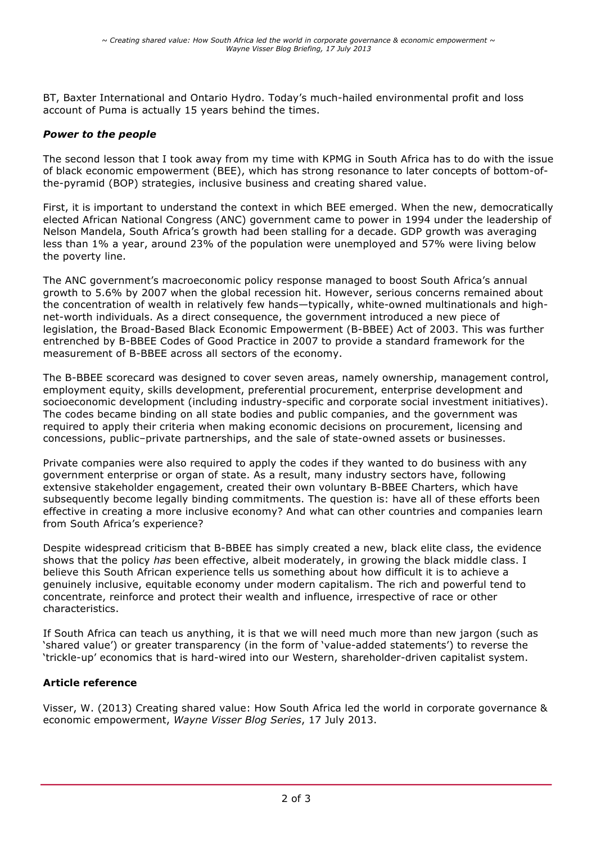BT, Baxter International and Ontario Hydro. Today's much-hailed environmental profit and loss account of Puma is actually 15 years behind the times.

#### *Power to the people*

The second lesson that I took away from my time with KPMG in South Africa has to do with the issue of black economic empowerment (BEE), which has strong resonance to later concepts of bottom-ofthe-pyramid (BOP) strategies, inclusive business and creating shared value.

First, it is important to understand the context in which BEE emerged. When the new, democratically elected African National Congress (ANC) government came to power in 1994 under the leadership of Nelson Mandela, South Africa's growth had been stalling for a decade. GDP growth was averaging less than 1% a year, around 23% of the population were unemployed and 57% were living below the poverty line.

The ANC government's macroeconomic policy response managed to boost South Africa's annual growth to 5.6% by 2007 when the global recession hit. However, serious concerns remained about the concentration of wealth in relatively few hands—typically, white-owned multinationals and highnet-worth individuals. As a direct consequence, the government introduced a new piece of legislation, the Broad-Based Black Economic Empowerment (B-BBEE) Act of 2003. This was further entrenched by B-BBEE Codes of Good Practice in 2007 to provide a standard framework for the measurement of B-BBEE across all sectors of the economy.

The B-BBEE scorecard was designed to cover seven areas, namely ownership, management control, employment equity, skills development, preferential procurement, enterprise development and socioeconomic development (including industry-specific and corporate social investment initiatives). The codes became binding on all state bodies and public companies, and the government was required to apply their criteria when making economic decisions on procurement, licensing and concessions, public–private partnerships, and the sale of state-owned assets or businesses.

Private companies were also required to apply the codes if they wanted to do business with any government enterprise or organ of state. As a result, many industry sectors have, following extensive stakeholder engagement, created their own voluntary B-BBEE Charters, which have subsequently become legally binding commitments. The question is: have all of these efforts been effective in creating a more inclusive economy? And what can other countries and companies learn from South Africa's experience?

Despite widespread criticism that B-BBEE has simply created a new, black elite class, the evidence shows that the policy *has* been effective, albeit moderately, in growing the black middle class. I believe this South African experience tells us something about how difficult it is to achieve a genuinely inclusive, equitable economy under modern capitalism. The rich and powerful tend to concentrate, reinforce and protect their wealth and influence, irrespective of race or other characteristics.

If South Africa can teach us anything, it is that we will need much more than new jargon (such as 'shared value') or greater transparency (in the form of 'value-added statements') to reverse the 'trickle-up' economics that is hard-wired into our Western, shareholder-driven capitalist system.

#### **Article reference**

Visser, W. (2013) Creating shared value: How South Africa led the world in corporate governance & economic empowerment, *Wayne Visser Blog Series*, 17 July 2013.